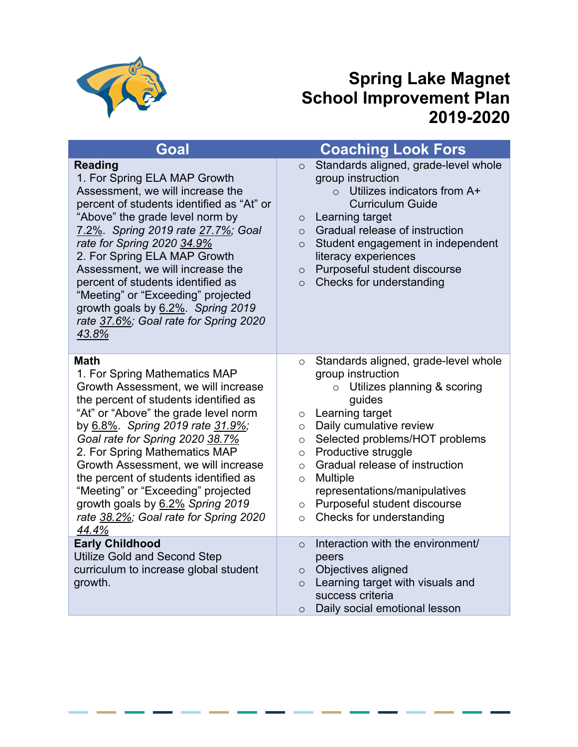

## **Spring Lake Magnet School Improvement Plan 2019-2020**

| Goal                                                                                                                                                                                                                                                                                                                                                                                                                                                                                     | <b>Coaching Look Fors</b>                                                                                                                                                                                                                                                                                                                                                                                                                                       |
|------------------------------------------------------------------------------------------------------------------------------------------------------------------------------------------------------------------------------------------------------------------------------------------------------------------------------------------------------------------------------------------------------------------------------------------------------------------------------------------|-----------------------------------------------------------------------------------------------------------------------------------------------------------------------------------------------------------------------------------------------------------------------------------------------------------------------------------------------------------------------------------------------------------------------------------------------------------------|
| <b>Reading</b><br>1. For Spring ELA MAP Growth<br>Assessment, we will increase the<br>percent of students identified as "At" or<br>"Above" the grade level norm by<br>7.2%. Spring 2019 rate 27.7%; Goal<br>rate for Spring 2020 34.9%<br>2. For Spring ELA MAP Growth<br>Assessment, we will increase the<br>percent of students identified as<br>"Meeting" or "Exceeding" projected<br>growth goals by 6.2%. Spring 2019<br>rate 37.6%; Goal rate for Spring 2020<br>43.8%             | Standards aligned, grade-level whole<br>$\circ$<br>group instruction<br>Utilizes indicators from A+<br>$\Omega$<br><b>Curriculum Guide</b><br>Learning target<br>$\circ$<br>Gradual release of instruction<br>$\circ$<br>Student engagement in independent<br>$\circ$<br>literacy experiences<br>Purposeful student discourse<br>$\circ$<br>Checks for understanding<br>$\circ$                                                                                 |
| <b>Math</b><br>1. For Spring Mathematics MAP<br>Growth Assessment, we will increase<br>the percent of students identified as<br>"At" or "Above" the grade level norm<br>by 6.8%. Spring 2019 rate 31.9%;<br>Goal rate for Spring 2020 38.7%<br>2. For Spring Mathematics MAP<br>Growth Assessment, we will increase<br>the percent of students identified as<br>"Meeting" or "Exceeding" projected<br>growth goals by 6.2% Spring 2019<br>rate 38.2%; Goal rate for Spring 2020<br>44.4% | Standards aligned, grade-level whole<br>$\circ$<br>group instruction<br>$\circ$ Utilizes planning & scoring<br>guides<br>Learning target<br>$\circ$<br>Daily cumulative review<br>$\circ$<br>Selected problems/HOT problems<br>$\circ$<br>Productive struggle<br>$\circ$<br>Gradual release of instruction<br>$\circ$<br>Multiple<br>$\circ$<br>representations/manipulatives<br>Purposeful student discourse<br>$\circ$<br>Checks for understanding<br>$\circ$ |
| <b>Early Childhood</b><br><b>Utilize Gold and Second Step</b><br>curriculum to increase global student<br>growth.                                                                                                                                                                                                                                                                                                                                                                        | Interaction with the environment/<br>$\circ$<br>peers<br>Objectives aligned<br>$\circ$<br>Learning target with visuals and<br>$\circ$<br>success criteria<br>Daily social emotional lesson<br>$\circ$                                                                                                                                                                                                                                                           |